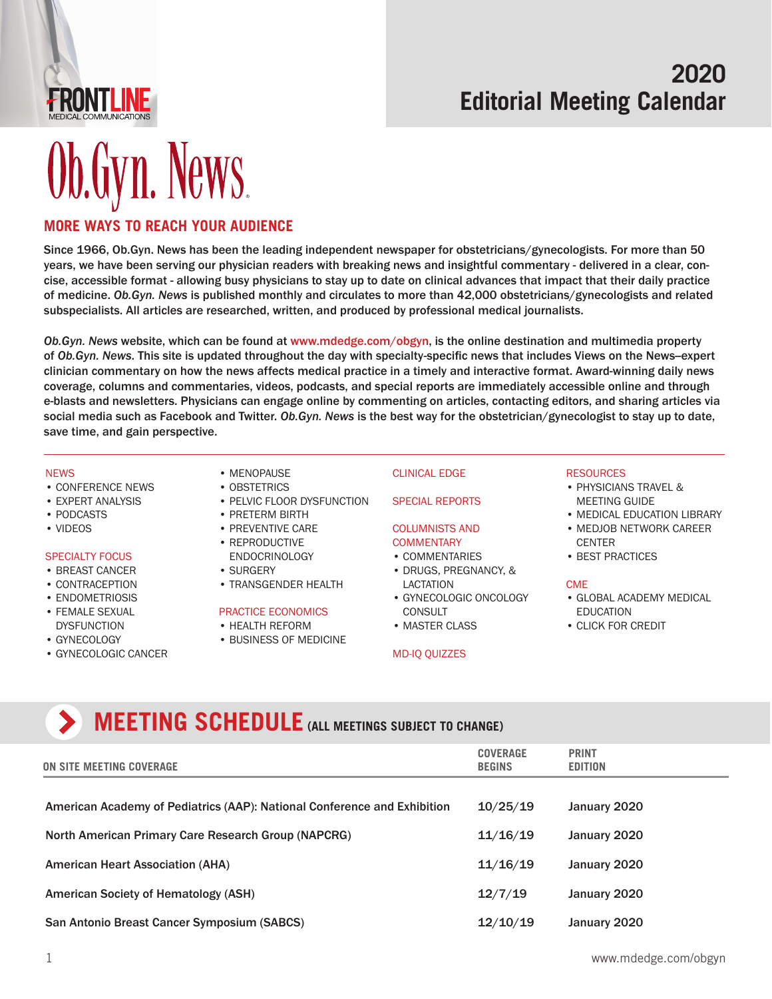

## **2020 Editorial Meeting Calendar**

# **Ob.Gyn. News.**

### **[MORE WAYS TO REACH YOUR AUDIENCE](http://www.mdedge.com/obgyn)**

Since 1966, Ob.Gyn. News has been the leading independent newspaper for obstetricians/gynecologists. For more than 50 years, we have been serving our physician readers with breaking news and insightful commentary - delivered in a clear, concise, accessible format - allowing busy physicians to stay up to date on clinical advances that impact that their daily practice of medicine. *Ob.Gyn. News* is published monthly and circulates to more than 42,000 obstetricians/gynecologists and related subspecialists. All articles are researched, written, and produced by professional medical journalists.

*Ob.Gyn. News* website, which can be found at [www.mdedge.com/obgyn](http://www.mdedge.com/obgyn), is the online destination and multimedia property of *Ob.Gyn. News*. This site is updated throughout the day with specialty-specific news that includes Views on the News--expert clinician commentary on how the news affects medical practice in a timely and interactive format. Award-winning daily news coverage, columns and commentaries, videos, podcasts, and special reports are immediately accessible online and through e-blasts and newsletters. Physicians can engage online by commenting on articles, contacting editors, and sharing articles via social media such as Facebook and Twitter. *Ob.Gyn. News* is the best way for the obstetrician/gynecologist to stay up to date, save time, and gain perspective.

#### **NFWS**

- CONFERENCE NEWS
- EXPERT ANALYSIS
- PODCASTS
- VIDEOS

#### SPECIALTY FOCUS

- BREAST CANCER
- CONTRACEPTION
- ENDOMETRIOSIS
- FEMALE SEXUAL DYSFUNCTION
- GYNECOLOGY
- GYNECOLOGIC CANCER
- MENOPAUSE
- OBSTETRICS
- PELVIC FLOOR DYSFUNCTION
- PRETERM BIRTH
- PREVENTIVE CARE
- REPRODUCTIVE ENDOCRINOLOGY
- SURGERY
- TRANSGENDER HEALTH

#### PRACTICE ECONOMICS

- HEALTH REFORM
- BUSINESS OF MEDICINE

CLINICAL EDGE SPECIAL REPORTS

## COLUMNISTS AND

- **COMMENTARY** • COMMENTARIES
- DRUGS, PREGNANCY, & LACTATION
- GYNECOLOGIC ONCOLOGY **CONSULT**
- MASTER CLASS

#### MD-IQ QUIZZES

#### **RESOURCES**

- PHYSICIANS TRAVEL & MEETING GUIDE
- MEDICAL EDUCATION LIBRARY • MEDJOB NETWORK CAREER
- **CENTER**
- BEST PRACTICES

#### **CMF**

- GLOBAL ACADEMY MEDICAL EDUCATION
- CLICK FOR CREDIT

## **MEETING SCHEDULE** (ALL MEETINGS SUBJECT TO CHANGE)

| ON SITE MEETING COVERAGE                                                 | <b>COVERAGE</b><br><b>BEGINS</b> | <b>PRINT</b><br><b>EDITION</b> |
|--------------------------------------------------------------------------|----------------------------------|--------------------------------|
| American Academy of Pediatrics (AAP): National Conference and Exhibition | 10/25/19                         | January 2020                   |
| North American Primary Care Research Group (NAPCRG)                      | 11/16/19                         | January 2020                   |
| <b>American Heart Association (AHA)</b>                                  | 11/16/19                         | January 2020                   |
| <b>American Society of Hematology (ASH)</b>                              | 12/7/19                          | January 2020                   |
| San Antonio Breast Cancer Symposium (SABCS)                              | 12/10/19                         | January 2020                   |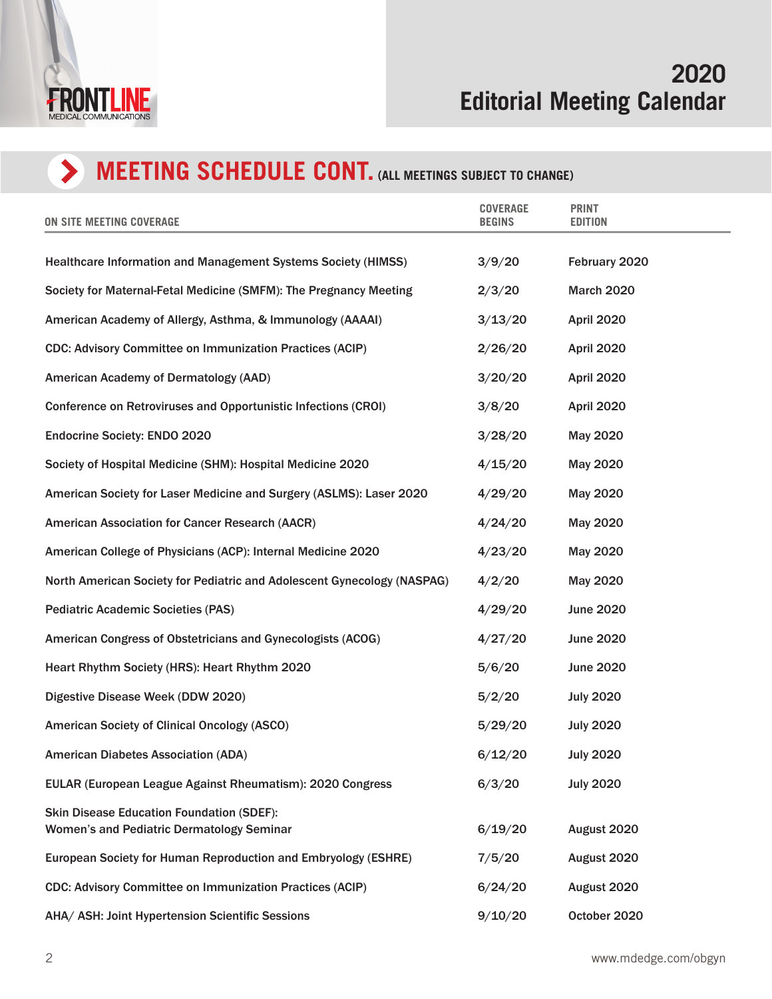

## **MEETING SCHEDULE CONT. (ALL MEETINGS SUBJECT TO CHANGE)**

| ON SITE MEETING COVERAGE                                                                             | <b>COVERAGE</b><br><b>BEGINS</b> | <b>PRINT</b><br><b>EDITION</b> |
|------------------------------------------------------------------------------------------------------|----------------------------------|--------------------------------|
| <b>Healthcare Information and Management Systems Society (HIMSS)</b>                                 | 3/9/20                           | February 2020                  |
| Society for Maternal-Fetal Medicine (SMFM): The Pregnancy Meeting                                    | 2/3/20                           | <b>March 2020</b>              |
| American Academy of Allergy, Asthma, & Immunology (AAAAI)                                            | 3/13/20                          | April 2020                     |
| <b>CDC: Advisory Committee on Immunization Practices (ACIP)</b>                                      | 2/26/20                          | April 2020                     |
| American Academy of Dermatology (AAD)                                                                | 3/20/20                          | April 2020                     |
| Conference on Retroviruses and Opportunistic Infections (CROI)                                       | 3/8/20                           | April 2020                     |
| <b>Endocrine Society: ENDO 2020</b>                                                                  | 3/28/20                          | May 2020                       |
| Society of Hospital Medicine (SHM): Hospital Medicine 2020                                           | 4/15/20                          | May 2020                       |
| American Society for Laser Medicine and Surgery (ASLMS): Laser 2020                                  | 4/29/20                          | May 2020                       |
| <b>American Association for Cancer Research (AACR)</b>                                               | 4/24/20                          | May 2020                       |
| American College of Physicians (ACP): Internal Medicine 2020                                         | 4/23/20                          | May 2020                       |
| North American Society for Pediatric and Adolescent Gynecology (NASPAG)                              | 4/2/20                           | May 2020                       |
| <b>Pediatric Academic Societies (PAS)</b>                                                            | 4/29/20                          | <b>June 2020</b>               |
| American Congress of Obstetricians and Gynecologists (ACOG)                                          | 4/27/20                          | <b>June 2020</b>               |
| Heart Rhythm Society (HRS): Heart Rhythm 2020                                                        | 5/6/20                           | <b>June 2020</b>               |
| Digestive Disease Week (DDW 2020)                                                                    | 5/2/20                           | <b>July 2020</b>               |
| <b>American Society of Clinical Oncology (ASCO)</b>                                                  | 5/29/20                          | <b>July 2020</b>               |
| <b>American Diabetes Association (ADA)</b>                                                           | 6/12/20                          | <b>July 2020</b>               |
| EULAR (European League Against Rheumatism): 2020 Congress                                            | 6/3/20                           | <b>July 2020</b>               |
| <b>Skin Disease Education Foundation (SDEF):</b><br><b>Women's and Pediatric Dermatology Seminar</b> | 6/19/20                          | August 2020                    |
| European Society for Human Reproduction and Embryology (ESHRE)                                       | 7/5/20                           | August 2020                    |
| <b>CDC: Advisory Committee on Immunization Practices (ACIP)</b>                                      | 6/24/20                          | August 2020                    |
| AHA/ ASH: Joint Hypertension Scientific Sessions                                                     | 9/10/20                          | October 2020                   |